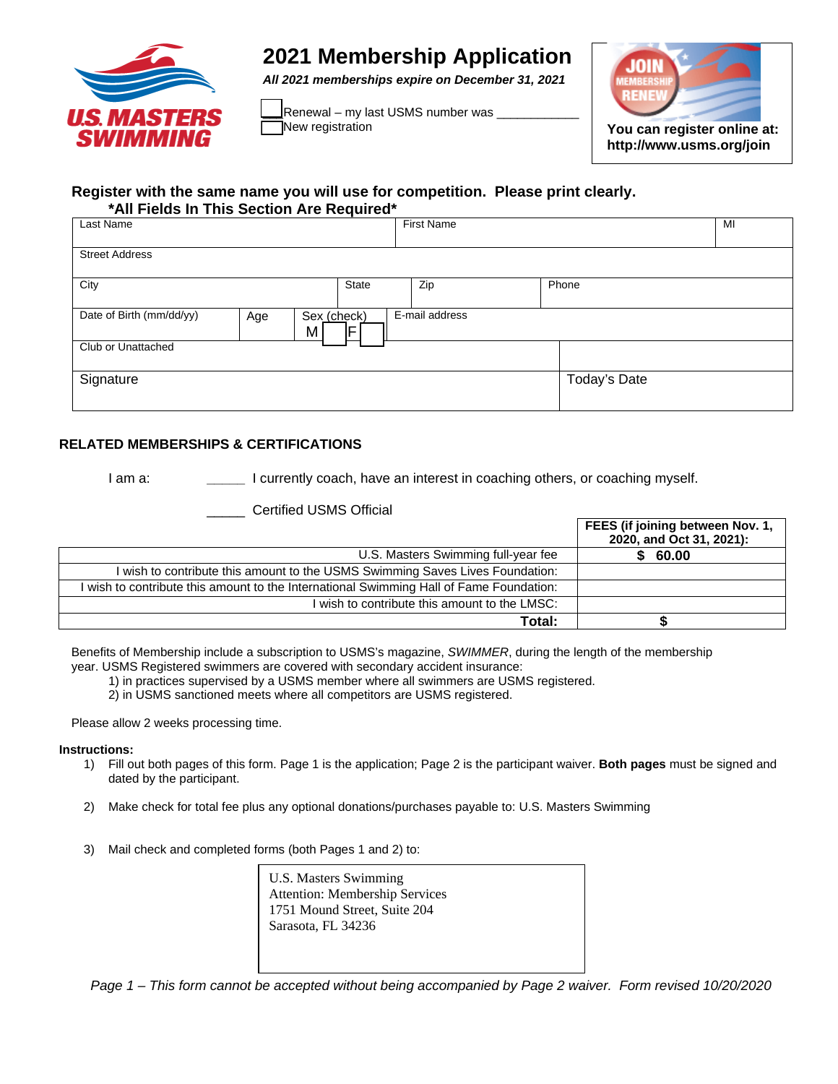

## **2021 Membership Application**

*All 2021 memberships expire on December 31, 2021* 

\_Renewal – my last USMS number was <sub>-</sub><br>\_<br>\_Mew registration



**http://www.usms.org/join**

## **Register with the same name you will use for competition. Please print clearly. \*All Fields In This Section Are Required\***

| Last Name                                                                  |       | <b>First Name</b> |              | MI |
|----------------------------------------------------------------------------|-------|-------------------|--------------|----|
| <b>Street Address</b>                                                      |       |                   |              |    |
| City                                                                       | State | Zip               | Phone        |    |
| Date of Birth (mm/dd/yy)<br>E-mail address<br>Sex (check)<br>Age<br>F<br>M |       |                   |              |    |
| Club or Unattached                                                         |       |                   |              |    |
| Signature                                                                  |       |                   | Today's Date |    |

## **RELATED MEMBERSHIPS & CERTIFICATIONS**

I am a: **\_\_\_\_\_** I currently coach, have an interest in coaching others, or coaching myself.

\_\_\_\_\_ Certified USMS Official

|                                                                                         | FEES (if joining between Nov. 1,<br>2020, and Oct 31, 2021): |
|-----------------------------------------------------------------------------------------|--------------------------------------------------------------|
| U.S. Masters Swimming full-year fee                                                     | \$60.00                                                      |
| wish to contribute this amount to the USMS Swimming Saves Lives Foundation:             |                                                              |
| I wish to contribute this amount to the International Swimming Hall of Fame Foundation: |                                                              |
| wish to contribute this amount to the LMSC:                                             |                                                              |
| Total:                                                                                  |                                                              |

Benefits of Membership include a subscription to USMS's magazine, *SWIMMER*, during the length of the membership year. USMS Registered swimmers are covered with secondary accident insurance:

1) in practices supervised by a USMS member where all swimmers are USMS registered.

2) in USMS sanctioned meets where all competitors are USMS registered.

Please allow 2 weeks processing time.

## **Instructions:**

- 1) Fill out both pages of this form. Page 1 is the application; Page 2 is the participant waiver. **Both pages** must be signed and dated by the participant.
- 2) Make check for total fee plus any optional donations/purchases payable to: U.S. Masters Swimming
- 3) Mail check and completed forms (both Pages 1 and 2) to:

U.S. Masters Swimming Attention: Membership Services 1751 Mound Street, Suite 204 Sarasota, FL 34236

*Page 1 – This form cannot be accepted without being accompanied by Page 2 waiver. Form revised 10/20/2020*